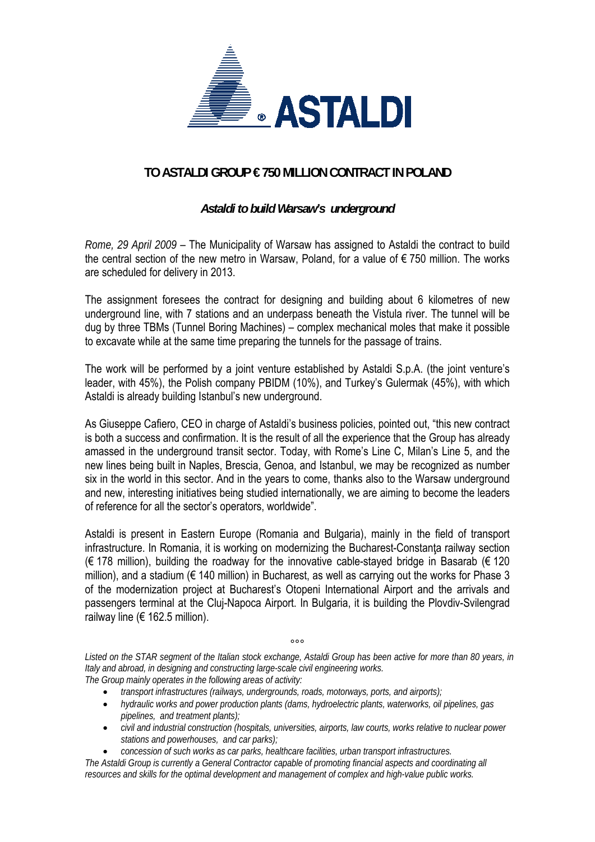

## **TO ASTALDI GROUP € 750 MILLION CONTRACT IN POLAND**

## *Astaldi to build Warsaw's underground*

*Rome, 29 April 2009* – The Municipality of Warsaw has assigned to Astaldi the contract to build the central section of the new metro in Warsaw, Poland, for a value of  $\epsilon$  750 million. The works are scheduled for delivery in 2013.

The assignment foresees the contract for designing and building about 6 kilometres of new underground line, with 7 stations and an underpass beneath the Vistula river. The tunnel will be dug by three TBMs (Tunnel Boring Machines) – complex mechanical moles that make it possible to excavate while at the same time preparing the tunnels for the passage of trains.

The work will be performed by a joint venture established by Astaldi S.p.A. (the joint venture's leader, with 45%), the Polish company PBIDM (10%), and Turkey's Gulermak (45%), with which Astaldi is already building Istanbul's new underground.

As Giuseppe Cafiero, CEO in charge of Astaldi's business policies, pointed out, "this new contract is both a success and confirmation. It is the result of all the experience that the Group has already amassed in the underground transit sector. Today, with Rome's Line C, Milan's Line 5, and the new lines being built in Naples, Brescia, Genoa, and Istanbul, we may be recognized as number six in the world in this sector. And in the years to come, thanks also to the Warsaw underground and new, interesting initiatives being studied internationally, we are aiming to become the leaders of reference for all the sector's operators, worldwide".

Astaldi is present in Eastern Europe (Romania and Bulgaria), mainly in the field of transport infrastructure. In Romania, it is working on modernizing the Bucharest-Constanţa railway section  $(€ 178$  million), building the roadway for the innovative cable-stayed bridge in Basarab (€ 120 million), and a stadium (€ 140 million) in Bucharest, as well as carrying out the works for Phase 3 of the modernization project at Bucharest's Otopeni International Airport and the arrivals and passengers terminal at the Cluj-Napoca Airport. In Bulgaria, it is building the Plovdiv-Svilengrad railway line ( $\epsilon$  162.5 million).

 $000$ 

*Listed on the STAR segment of the Italian stock exchange, Astaldi Group has been active for more than 80 years, in Italy and abroad, in designing and constructing large-scale civil engineering works.* 

*The Group mainly operates in the following areas of activity:* 

- *transport infrastructures (railways, undergrounds, roads, motorways, ports, and airports);*
- *hydraulic works and power production plants (dams, hydroelectric plants, waterworks, oil pipelines, gas pipelines, and treatment plants);*
- *civil and industrial construction (hospitals, universities, airports, law courts, works relative to nuclear power stations and powerhouses, and car parks);*

• *concession of such works as car parks, healthcare facilities, urban transport infrastructures. The Astaldi Group is currently a General Contractor capable of promoting financial aspects and coordinating all resources and skills for the optimal development and management of complex and high-value public works.*